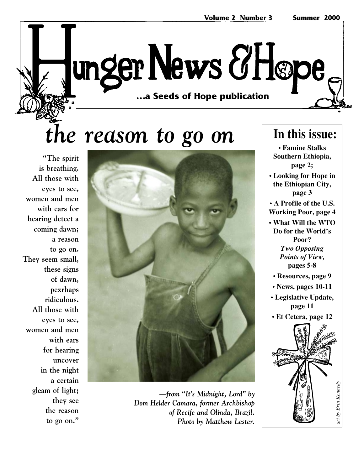# unger News & Høpe …a Seeds of Hope publication **…a Seeds of Hope publication**

# *the reason to go on*

**"The spirit is breathing. All those with eyes to see, women and men with ears for hearing detect a coming dawn; a reason to go on. They seem small, these signs of dawn, pexrhaps ridiculous. All those with eyes to see, women and men with ears for hearing uncover in the night a certain gleam of light; they see the reason to go on."**



*—from "It's Midnight, Lord" by Dom Helder Camara, former Archbishop of Recife and Olinda, Brazil. Photo by Matthew Lester.*

### **In this issue:**

**• Famine Stalks Southern Ethiopia, page 2;**

**• Looking for Hope in the Ethiopian City, page 3**

**• A Profile of the U.S. Working Poor, page 4**

- **What Will the WTO Do for the World's Poor?** *Two Opposing Points of View,* **pages 5-8**
	- **Resources, page 9**
- **News, pages 10-11**
- **Legislative Update, page 11**
- **Et Cetera, page 12**

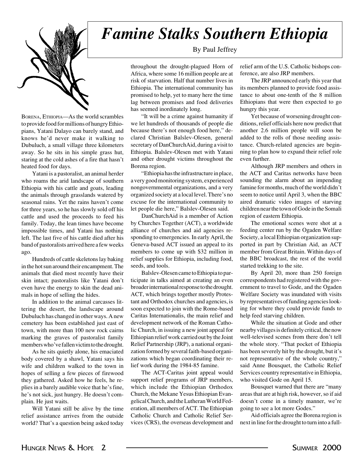

BORENA, ETHIOPIA—As the world scrambles to provide food for millions of hungry Ethiopians, Yatani Dalayo can barely stand, and knows he'd never make it walking to Dubuluch, a small village three kilometers away. So he sits in his simple grass hut, staring at the cold ashes of a fire that hasn't heated food for days.

Yatani is a pastoralist, an animal herder who roams the arid landscape of southern Ethiopia with his cattle and goats, leading the animals through grasslands watered by seasonal rains. Yet the rains haven't come for three years, so he has slowly sold off his cattle and used the proceeds to feed his family. Today, the lean times have become impossible times, and Yatani has nothing left. The last five of his cattle died after his band of pastoralists arrived here a few weeks ago.

Hundreds of cattle skeletons lay baking in the hot sun around their encampment. The animals that died most recently have their skin intact; pastoralists like Yatani don't even have the energy to skin the dead animals in hope of selling the hides.

In addition to the animal carcasses littering the desert, the landscape around Dubuluch has changed in other ways. A new cemetery has been established just east of town, with more than 100 new rock cairns marking the graves of pastoralist family members who've fallen victim to the drought.

As he sits quietly alone, his emaciated body covered by a shawl, Yatani says his wife and children walked to the town in hopes of selling a few pieces of firewood they gathered. Asked how he feels, he replies in a barely audible voice that he's fine, he's not sick, just hungry. He doesn't complain. He just waits.

Will Yatani still be alive by the time relief assistance arrives from the outside world? That's a question being asked today

### *Famine Stalks Southern Ethiopia*

#### By Paul Jeffrey

throughout the drought-plagued Horn of Africa, where some 16 million people are at risk of starvation. Half that number lives in Ethiopia. The international community has promised to help, yet to many here the time lag between promises and food deliveries has seemed inordinately long.

"It will be a crime against humanity if we let hundreds of thousands of people die because there's not enough food here," declared Christian Balslev-Olesen, general secretary of DanChurchAid, during a visit to Ethiopia. Balslev-Olesen met with Yatani and other drought victims throughout the Borena region.

"Ethiopia has the infrastructure in place, a very good monitoring system, experienced nongovernmental organizations, and a very organized society at a local level. There's no excuse for the international community to let people die here," Balslev-Olesen said.

DanChurchAid is a member of Action by Churches Together (ACT), a worldwide alliance of churches and aid agencies responding to emergencies. In early April, the Geneva-based ACT issued an appeal to its members to come up with \$32 million in relief supplies for Ethiopia, including food, seeds, and tools.

Balslev-Olesen came to Ethiopia to participate in talks aimed at creating an even broader international response to the drought. ACT, which brings together mostly Protestant and Orthodox churches and agencies, is soon expected to join with the Rome-based Caritas Internationalis, the main relief and development network of the Roman Catholic Church, in issuing a new joint appeal for Ethiopian relief work carried out by the Joint Relief Partnership (JRP), a national organization formed by several faith-based organizations which began coordinating their relief work during the 1984-85 famine.

The ACT-Caritas joint appeal would support relief programs of JRP members, which include the Ethiopian Orthodox Church, the Mekane Yesus Ethiopian Evangelical Church, and the Lutheran World Federation, all members of ACT. The Ethiopian Catholic Church and Catholic Relief Services (CRS), the overseas development and

relief arm of the U.S. Catholic bishops conference, are also JRP members.

The JRP announced early this year that its members planned to provide food assistance to about one-tenth of the 8 million Ethiopians that were then expected to go hungry this year.

Yet because of worsening drought conditions, relief officials here now predict that another 2.6 million people will soon be added to the rolls of those needing assistance. Church-related agencies are beginning to plan how to expand their relief role even further.

Although JRP members and others in the ACT and Caritas networks have been sounding the alarm about an impending famine for months, much of the world didn't seem to notice until April 3, when the BBC aired dramatic video images of starving children near the town of Gode in the Somali region of eastern Ethiopia.

The emotional scenes were shot at a feeding center run by the Ogaden Welfare Society, a local Ethiopian organization supported in part by Christian Aid, an ACT member from Great Britain. Within days of the BBC broadcast, the rest of the world started trekking to the site.

By April 20, more than 250 foreign correspondents had registered with the government to travel to Gode, and the Ogaden Welfare Society was inundated with visits by representatives of funding agencies looking for where they could provide funds to help feed starving children.

While the situation at Gode and other nearby villages is definitely critical, the now well-televised scenes from there don't tell the whole story. "That pocket of Ethiopia has been severely hit by the drought, but it's not representative of the whole country," said Anne Bousquet, the Catholic Relief Services country representative in Ethiopia, who visited Gode on April 15.

Bousquet warned that there are "many areas that are at high risk, however, so if aid doesn't come in a timely manner, we're going to see a lot more Godes."

Aid officials agree the Borena region is next in line for the drought to turn into a full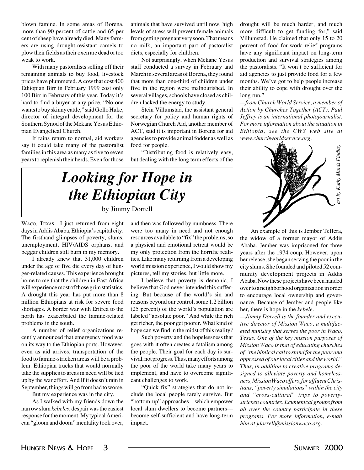blown famine. In some areas of Borena, more than 90 percent of cattle and 65 per cent of sheep have already died. Many farmers are using drought-resistant camels to plow their fields as their oxen are dead or too weak to work.

With many pastoralists selling off their remaining animals to buy food, livestock prices have plummeted. A cow that cost 400 Ethiopian Birr in February 1999 cost only 100 Birr in February of this year. Today it's hard to find a buyer at any price. "No one wants to buy skinny cattle," said Gollo Huke, director of integral development for the Southern Synod of the Mekane Yesus Ethiopian Evangelical Church.

If rains return to normal, aid workers say it could take many of the pastoralist families in this area as many as five to seven years to replenish their herds. Even for those

animals that have survived until now, high levels of stress will prevent female animals from getting pregnant very soon. That means no milk, an important part of pastoralist diets, especially for children.

Not surprisingly, when Mekane Yesus staff conducted a survey in February and March in several areas of Borena, they found that more than one-third of children under five in the region were malnourished. In several villages, schools have closed as children lacked the energy to study.

Stein Villumstad, the assistant general secretary for policy and human rights of Norwegian Church Aid, another member of ACT, said it is important in Borena for aid agencies to provide animal fodder as well as food for people.

"Distributing food is relatively easy, but dealing with the long term effects of the drought will be much harder, and much more difficult to get funding for," said Villumstad. He claimed that only 15 to 20 percent of food-for-work relief programs have any significant impact on long-term production and survival strategies among the pastoralists. "It won't be sufficient for aid agencies to just provide food for a few months. We've got to help people increase their ability to cope with drought over the long run."

*—from Church World Service, a member of Action by Churches Together (ACT). Paul Jeffrey is an international photojournalist. For more information about the situation in Ethiopia, see the CWS web site at www.churchworldservice.org.*



*Looking for Hope in the Ethiopian City* by Jimmy Dorrell

WACO, TEXAS—I just returned from eight days in Addis Ababa, Ethiopia's capital city. The firsthand glimpses of poverty, slums, unemployment, HIV/AIDS orphans, and beggar children still burn in my memory.

I already knew that 31,000 children under the age of five die every day of hunger-related causes. This experience brought home to me that the children in East Africa will experience most of those grim statistics. A drought this year has put more than 8 million Ethiopians at risk for severe food shortages. A border war with Eritrea to the north has exacerbated the famine-related problems in the south.

A number of relief organizations recently announced that emergency food was on its way to the Ethiopian ports. However, even as aid arrives, transportation of the food to famine-stricken areas will be a problem. Ethiopian trucks that would normally take the supplies to areas in need will be tied up by the war effort. And If it doesn't rain in September, things will go from bad to worse.

But my experience was in the city.

As I walked with my friends down the narrow slum *kebeles*, despair was the easiest response for the moment. My typical American "gloom and doom" mentality took over,

and then was followed by numbness. There were too many in need and not enough resources available to "fix" the problems, so a physical and emotional retreat would be my only protection from the horrific realities. Like many returning from a developing world mission experience, I would show my pictures, tell my stories, but little more.

I believe that poverty is demonic. I believe that God never intended this suffering. But because of the world's sin and reasons beyond our control, some 1.2 billion (25 percent) of the world's population are labeled "absolute poor." And while the rich get richer, the poor get poorer. What kind of hope can we find in the midst of this reality?

Such poverty and the hopelessness that goes with it often creates a fatalism among the people. Their goal for each day is survival, not progress. Thus, many efforts among the poor of the world take many years to implement, and have to overcome significant challenges to work.

"Quick fix" strategies that do not include the local people rarely survive. But "bottom-up" approaches—which empower local slum dwellers to become partners become self-sufficient and have long-term impact.

An example of this is Jember Teffera, the widow of a former mayor of Addis Ababa. Jember was imprisoned for three years after the 1974 coup. However, upon her release, she began serving the poor in the city slums. She founded and piloted 52 community development projects in Addis Ababa. Now these projects have been handed over to a neighborhood organization in order to encourage local ownership and governance. Because of Jember and people like her, there is hope in the *kebele*.

*—Jimmy Dorrell is the founder and executive director of Mission Waco, a multifaceted ministry that serves the poor in Waco, Texas. One of the key mission purposes of Mission Waco is that of educating churches of "the biblical call to stand for the poor and oppressed of our local cities and the world." Thus, in addition to creative programs designed to alleviate poverty and homelessness, Mission Waco offers, for affluent Christians, "poverty simulations" within the city and "cross-cultural" trips to povertystricken countries. Ecumenical groups from all over the country participate in these programs. For more information, e-mail him at jdorrell@missionwaco.org.*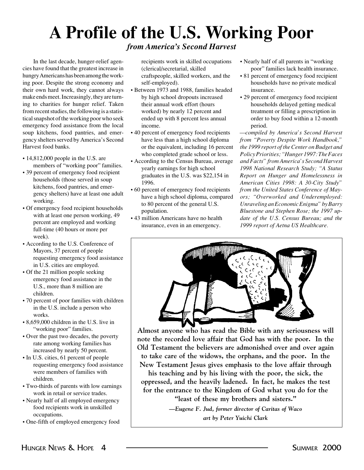## **A Profile of the U.S. Working Poor**

### *from America's Second Harvest*

In the last decade, hunger-relief agencies have found that the greatest increase in hungry Americans has been among the working poor. Despite the strong economy and their own hard work, they cannot always make ends meet. Increasingly, they are turning to charities for hunger relief. Taken from recent studies, the following is a statistical snapshot of the working poor who seek emergency food assistance from the local soup kitchens, food pantries, and emergency shelters served by America's Second Harvest food banks.

- 14,812,000 people in the U.S. are members of "working poor" families.
- 39 percent of emergency food recipient households (those served in soup kitchens, food pantries, and emergency shelters) have at least one adult working.
- Of emergency food recipient households with at least one person working, 49 percent are employed and working full-time (40 hours or more per week).
- According to the U.S. Conference of Mayors, 37 percent of people requesting emergency food assistance in U.S. cities are employed.
- Of the 21 million people seeking emergency food assistance in the U.S., more than 8 million are children.
- 70 percent of poor families with children in the U.S. include a person who works.
- 8,659,000 children in the U.S. live in "working poor" families.
- Over the past two decades, the poverty rate among working families has increased by nearly 50 percent.
- In U.S. cities, 61 percent of people requesting emergency food assistance were members of families with children.
- Two-thirds of parents with low earnings work in retail or service trades.
- Nearly half of all employed emergency food recipients work in unskilled occupations.
- One-fifth of employed emergency food

recipients work in skilled occupations (clerical/secretarial, skilled craftspeople, skilled workers, and the self-employed).

- Between 1973 and 1988, families headed by high school dropouts increased their annual work effort (hours worked) by nearly 12 percent and ended up with 8 percent less annual income.
- 40 percent of emergency food recipients have less than a high school diploma or the equivalent, including 16 percent who completed grade school or less.
- According to the Census Bureau, average yearly earnings for high school graduates in the U.S. was \$22,154 in 1996.
- 60 percent of emergency food recipients have a high school diploma, compared to 80 percent of the general U.S. population.
- 43 million Americans have no health insurance, even in an emergency.
- Nearly half of all parents in "working poor" families lack health insurance.
- 81 percent of emergency food recipient households have no private medical insurance.
- 29 percent of emergency food recipient households delayed getting medical treatment or filling a prescription in order to buy food within a 12-month period.

*—compiled by America's Second Harvest from "Poverty Despite Work Handbook," the 1999 report of the Center on Budget and Policy Priorities; "Hunger 1997: The Faces and Facts" from America's Second Harvest 1998 National Research Study; "A Status Report on Hunger and Homelessness in American Cities 1998: A 30-City Study" from the United States Conference of Mayors; "Overworked and Underemployed: Unraveling an Economic Enigma" by Barry Bluestone and Stephen Rose; the 1997 update of the U.S. Census Bureau; and the 1999 report of Aetna US Healthcare.*



**Almost anyone who has read the Bible with any seriousness will note the recorded love affair that God has with the poor. In the Old Testament the believers are admonished over and over again to take care of the widows, the orphans, and the poor. In the New Testament Jesus gives emphasis to the love affair through**

**his teaching and by his living with the poor, the sick, the oppressed, and the heavily ladened. In fact, he makes the test for the entrance to the Kingdom of God what you do for the "least of these my brothers and sisters."**

> *—Eugene F. Jud, former director of Caritas of Waco art by Peter Yuichi Clark*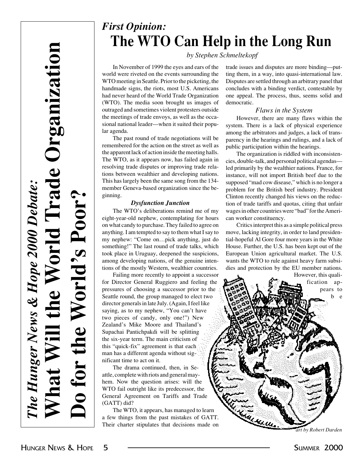### *First Opinion:* **The WTO Can Help in the Long Run**

#### *by Stephen Schmeltekopf*

In November of 1999 the eyes and ears of the world were riveted on the events surrounding the WTO meeting in Seattle. Prior to the picketing, the handmade signs, the riots, most U.S. Americans had never heard of the World Trade Organization (WTO). The media soon brought us images of outraged and sometimes violent protesters outside the meetings of trade envoys, as well as the occasional national leader—when it suited their popular agenda.

The past round of trade negotiations will be remembered for the action on the street as well as the apparent lack of action inside the meeting halls. The WTO, as it appears now, has failed again in resolving trade disputes or improving trade relations between wealthier and developing nations. This has largely been the same song from the 134 member Geneva-based organization since the beginning.

#### *Dysfunction Junction*

The WTO's deliberations remind me of my eight-year-old nephew, contemplating for hours on what candy to purchase. They failed to agree on anything. I am tempted to say to them what I say to my nephew: "Come on…pick anything, just do something!" The last round of trade talks, which took place in Uruguay, deepened the suspicions, among developing nations, of the genuine intentions of the mostly Western, wealthier countries.

Failing more recently to appoint a successor for Director General Ruggiero and feeling the pressures of choosing a successor prior to the Seattle round, the group managed to elect two director generals in late July. (Again, I feel like saying, as to my nephew, "You can't have two pieces of candy, only one!") New Zealand's Mike Moore and Thailand's Supachai Pantichpakdi will be splitting the six-year term. The main criticism of this "quick-fix" agreement is that each man has a different agenda without significant time to act on it.

The drama continued, then, in Seattle, complete with riots and general mayhem. Now the question arises: will the WTO fail outright like its predecessor, the General Agreement on Tariffs and Trade (GATT) did?

The WTO, it appears, has managed to learn a few things from the past mistakes of GATT. Their charter stipulates that decisions made on trade issues and disputes are more binding—putting them, in a way, into quasi-international law. Disputes are settled through an arbitrary panel that concludes with a binding verdict, contestable by one appeal. The process, thus, seems solid and democratic.

#### *Flaws in the System*

However, there are many flaws within the system. There is a lack of physical experience among the arbitrators and judges, a lack of transparency in the hearings and rulings, and a lack of public participation within the hearings.

The organization is riddled with inconsistencies, double-talk, and personal political agendas led primarily by the wealthier nations. France, for instance, will not import British beef due to the supposed "mad cow disease," which is no longer a problem for the British beef industry. President Clinton recently changed his views on the reduction of trade tariffs and quotas, citing that unfair wages in other countries were "bad" for the American worker constituency.

Critics interpret this as a simple political press move, lacking integrity, in order to land presidential-hopeful Al Gore four more years in the White House. Further, the U.S. has been kept out of the European Union agricultural market. The U.S. wants the WTO to rule against heavy farm subsidies and protection by the EU member nations.



*art by Robert Darden*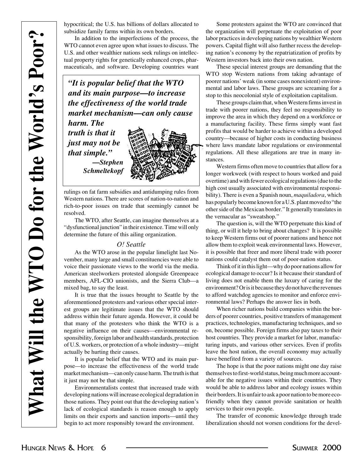hypocritical; the U.S. has billions of dollars allocated to subsidize family farms within its own borders.

In addition to the imperfections of the process, the WTO cannot even agree upon what issues to discuss. The U.S. and other wealthier nations seek rulings on intellectual property rights for genetically enhanced crops, pharmaceuticals, and software. Developing countries want

*"It is popular belief that the WTO and its main purpose—to increase the effectiveness of the world trade market mechanism—can only cause harm. The*

*truth is that it just may not be that simple." —Stephen Schmeltekopf*



rulings on fat farm subsidies and antidumping rules from Western nations. There are scores of nation-to-nation and rich-to-poor issues on trade that seemingly cannot be resolved.

The WTO, after Seattle, can imagine themselves at a "dysfunctional junction" in their existence. Time will only determine the future of this ailing organization.

#### *O! Seattle*

As the WTO arose in the popular limelight last November, many large and small constituencies were able to voice their passionate views to the world via the media. American steelworkers protested alongside Greenpeace members, AFL-CIO unionists, and the Sierra Club—a mixed bag, to say the least.

It is true that the issues brought to Seattle by the aforementioned protesters and various other special interest groups are legitimate issues that the WTO should address within their future agenda. However, it could be that many of the protesters who think the WTO is a negative influence on their causes—environmental responsibility, foreign labor and health standards, protection of U.S. workers, or protection of a whole industry—might actually be hurting their causes.

It is popular belief that the WTO and its main purpose—to increase the effectiveness of the world trade market mechanism—can only cause harm. The truth is that it just may not be that simple.

Environmentalists contest that increased trade with developing nations will increase ecological degradation in those nations. They point out that the developing nation's lack of ecological standards is reason enough to apply limits on their exports and sanction imports—until they begin to act more responsibly toward the environment.

Some protesters against the WTO are convinced that the organization will perpetuate the exploitation of poor labor practices in developing nations by wealthier Western powers. Capital flight will also further recess the developing nation's economy by the repatriatization of profits by Western investors back into their own nation.

These special interest groups are demanding that the WTO stop Western nations from taking advantage of poorer nations' weak (in some cases nonexistent) environmental and labor laws. These groups are screaming for a stop to this neocolonial style of exploitation capitalism.

These groups claim that, when Western firms invest in trade with poorer nations, they feel no responsibility to improve the area in which they depend on a workforce or a manufacturing facility. These firms simply want fast profits that would be harder to achieve within a developed country—because of higher costs in conducting business where laws mandate labor regulations or environmental regulations. All these allegations are true in many instances.

Western firms often move to countries that allow for a longer workweek (with respect to hours worked and paid overtime) and with fewer ecological regulations (due to the high cost usually associated with environmental responsibility). There is even a Spanish noun, *maquiladora*, which has popularly become known for a U.S. plant moved to "the other side of the Mexican border." It generally translates in the vernacular as "sweatshop."

The question is, will the WTO perpetuate this kind of thing, or will it help to bring about changes? It is possible to keep Western firms out of poorer nations and hence not allow them to exploit weak environmental laws. However, it is possible that freer and more liberal trade with poorer nations could catalyst them out of poor-nation status.

Think of it in this light—why do poor nations allow for ecological damage to occur? Is it because their standard of living does not enable them the luxury of caring for the environment? Or is it because they do not have the revenues to afford watchdog agencies to monitor and enforce environmental laws? Perhaps the answer lies in both.

When richer nations build companies within the borders of poorer countries, positive transfers of management practices, technologies, manufacturing techniques, and so on, become possible. Foreign firms also pay taxes to their host countries. They provide a market for labor, manufacturing inputs, and various other services. Even if profits leave the host nation, the overall economy may actually have benefited from a variety of sources.

The hope is that the poor nations might one day raise themselves to first-world status, being much more accountable for the negative issues within their countries. They would be able to address labor and ecology issues within their borders. It is unfair to ask a poor nation to be more ecofriendly when they cannot provide sanitation or health services to their own people.

The transfer of economic knowledge through trade liberalization should not worsen conditions for the devel-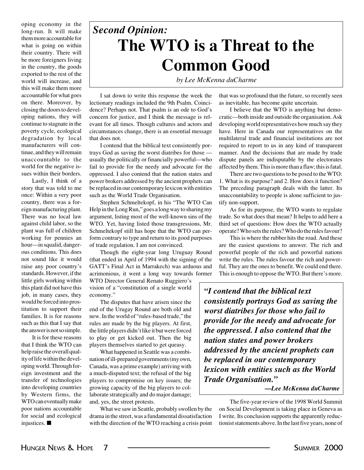oping economy in the long-run. It will make them more accountable for what is going on within their country. There will be more foreigners living in the country, the goods exported to the rest of the world will increase, and this will make them more accountable for what goes on there. Moreover, by closing the doors to developing nations, they will continue to stagnate in the poverty cycle, ecological degradation by local manufacturers will continue, and they will remain unaccountable to the world for the negative issues within their borders.

Lastly, I think of a story that was told to me once: Within a very poor country, there was a foreign manufacturing plant. There was no local law against child labor, so the plant was full of children working for pennies an hour—in squalid, dangerous conditions. This does not sound like it would raise any poor country's standards. However, if the little girls working within this plant did not have this job, in many cases, they would be forced into prostitution to support their families. It is for reasons such as this that I say that the answer is not so simple.

It is for these reasons that I think the WTO can help raise the overall quality of life within the developing world. Through foreign investment and the transfer of technologies into developing countries by Western firms, the WTO can eventually make poor nations accountable for social and ecological injustices. ■

## **The WTO is a Threat to the Common Good** *Second Opinion:*

*by Lee McKenna duCharme*

I sat down to write this response the week the lectionary readings included the 9th Psalm. Coincidence? Perhaps not. That psalm is an ode to God's concern for justice, and I think the message is relevant for all times. Though cultures and actors and circumstances change, there is an essential message that does not.

I contend that the biblical text consistently portrays God as saving the worst diatribes for those usually the politically or financially powerful—who fail to provide for the needy and advocate for the oppressed. I also contend that the nation states and power brokers addressed by the ancient prophets can be replaced in our contemporary lexicon with entities such as the World Trade Organisation.

Stephen Schmeltekopf, in his "The WTO Can Help in the Long Run," goes a long way to sharing my argument, listing most of the well-known sins of the WTO. Yet, having listed those transgressions, Mr. Schmeltekopf still has hope that the WTO can perform contrary to type and return to its good purposes of trade regulation. I am not convinced.

Though the eight-year long Uruguay Round (that ended in April of 1994 with the signing of the GATT's Final Act in Marrakech) was arduous and acrimonious, it went a long way towards former WTO Director General Renato Ruggiero's

vision of a "constitution of a single world economy."

The disputes that have arisen since the end of the Urugay Round are both old and new. In the world of "rules-based trade," the rules are made by the big players. At first, the little players didn't like it but were forced to play or get kicked out. Then the big players themselves started to get queasy.

What happened in Seattle was a combination of ill-prepared governments (my own, Canada, was a prime example) arriving with a much-disputed text; the refusal of the big players to compromise on key issues; the growing capacity of the big players to collaborate strategically and do major damage; and, yes, the street protests.

What we saw in Seattle, probably swollen by the drama in the street, was a fundamental dissatisfaction with the direction of the WTO reaching a crisis point

that was so profound that the future, so recently seen as inevitable, has become quite uncertain.

I believe that the WTO is anything but democratic—both inside and outside the organisation. Ask developing world representatives how much say they have. Here in Canada our representatives on the multilateral trade and financial institutions are not required to report to us in any kind of transparent manner. And the decisions that are made by trade dispute panels are indisputable by the electorates affected by them. This is more than a flaw; this is fatal.

There are two questions to be posed to the WTO: 1. What is its purpose? and 2. How does it function? The preceding paragraph deals with the latter. Its unaccountability to people is alone sufficient to justify non-support.

As for its purpose, the WTO wants to regulate trade. So what does that mean? It helps to add here a third set of questions: How does the WTO actually operate? Who sets the rules? Who do the rules favour?

This is where the rubber hits the road. And these are the easiest questions to answer. The rich and powerful people of the rich and powerful nations write the rules. The rules favour the rich and powerful. They are the ones to benefit. We could end there. This is enough to oppose the WTO. But there's more.

*"I contend that the biblical text consistently portrays God as saving the worst diatribes for those who fail to provide for the needy and advocate for the oppressed. I also contend that the nation states and power brokers addressed by the ancient prophets can be replaced in our contemporary lexicon with entities such as the World Trade Organisation."*

*—Lee McKenna duCharme*

The five-year review of the 1998 World Summit on Social Development is taking place in Geneva as I write. Its conclusion supports the apparently reductionist statements above. In the last five years, none of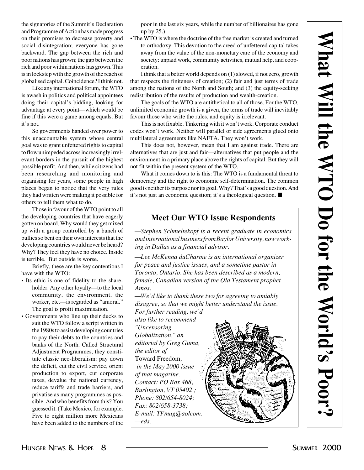the signatories of the Summit's Declaration and Programme of Action has made progress on their promises to decrease poverty and social disintegration; everyone has gone backward. The gap between the rich and poor nations has grown; the gap between the rich and poor within nations has grown. This is in lockstep with the growth of the reach of globalised capital. Coincidence? I think not.

Like any international forum, the WTO is awash in politics and political appointees doing their capital's bidding, looking for advantage at every point—which would be fine if this were a game among equals. But it's not.

So governments handed over power to this unaccountable system whose central goal was to grant unfettered rights to capital to flow unimpeded across increasingly irrelevant borders in the pursuit of the highest possible profit. And then, while citizens had been researching and monitoring and organising for years, some people in high places began to notice that the very rules they had written were making it possible for others to tell them what to do.

Those in favour of the WTO point to all the developing countries that have eagerly gotten on board. Why would they get mixed up with a group controlled by a bunch of bullies so bent on their own interests that the developing countries would never be heard? Why? They feel they have no choice. Inside is terrible. But outside is worse.

Briefly, these are the key contentions I have with the WTO:

- Its ethic is one of fidelity to the shareholder. Any other loyalty—to the local community, the environment, the worker, etc.—is regarded as "amoral." The goal is profit maximisation.
- Governments who line up their ducks to suit the WTO follow a script written in the 1980s to assist developing countries to pay their debts to the countries and banks of the North. Called Structural Adjustment Programmes, they constitute classic neo-liberalism: pay down the deficit, cut the civil service, orient production to export, cut corporate taxes, devalue the national currency, reduce tariffs and trade barriers, and privatise as many programmes as possible. And who benefits from this? You guessed it. (Take Mexico, for example. Five to eight million more Mexicans have been added to the numbers of the

poor in the last six years, while the number of billionaires has gone up by 25.)

• The WTO is where the doctrine of the free market is created and turned to orthodoxy. This devotion to the creed of unfettered capital takes away from the value of the non-monetary care of the economy and society: unpaid work, community activities, mutual help, and cooperation.

I think that a better world depends on (1) slowed, if not zero, growth that respects the finiteness of creation; (2) fair and just terms of trade among the nations of the North and South; and (3) the equity-seeking redistribution of the results of production and wealth-creation.

The goals of the WTO are antithetical to all of those. For the WTO, unlimited economic growth is a given, the terms of trade will inevitably favour those who write the rules, and equity is irrelevant.

This is not fixable. Tinkering with it won't work. Corporate conduct codes won't work. Neither will parallel or side agreements glued onto multilateral agreements like NAFTA. They won't work.

This does not, however, mean that I am against trade. There are alternatives that are just and fair—alternatives that put people and the environment in a primary place above the rights of capital. But they will not fit within the present system of the WTO.

What it comes down to is this: The WTO is a fundamental threat to democracy and the right to economic self-determination. The common good is neither its purpose nor its goal. Why? That's a good question. And it's not just an economic question; it's a theological question. ■

#### **Meet Our WTO Issue Respondents**

*—Stephen Schmeltekopf is a recent graduate in economics and international business from Baylor University, now working in Dallas as a financial advisor.*

*—Lee McKenna duCharme is an international organizer for peace and justice issues, and a sometime pastor in Toronto, Ontario. She has been described as a modern, female, Canadian version of the Old Testament prophet Amos.*

*—We'd like to thank these two for agreeing to amiably disagree, so that we might better understand the issue. For further reading, we'd*

*also like to recommend "Uncensoring Globalization," an editorial by Greg Guma, the editor of* Toward Freedom*, in the May 2000 issue of that magazine. Contact: PO Box 468, Burlington, VT 05402 ; Phone: 802/654-8024; Fax: 802/658-3738; E-mail: TFmag@aolcom. —eds.*

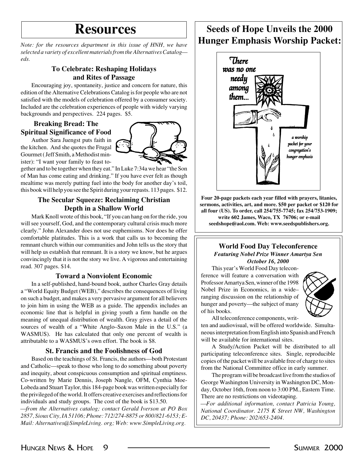*Note: for the resources department in this issue of HNH, we have selected a variety of excellent materials from the Alternatives Catalog eds.*

#### **To Celebrate: Reshaping Holidays and Rites of Passage**

Encouraging joy, spontaneity, justice and concern for nature, this edition of the Alternative Celebrations Catalog is for people who are not satisfied with the models of celebration offered by a consumer society. Included are the celebration experiences of people with widely varying backgrounds and perspectives. 224 pages. \$5.

#### **Breaking Bread: The Spiritual Significance of Food**

Author Sara Juengst puts faith in the kitchen. And she quotes the Frugal Gourmet ( Jeff Smith, a Methodist minister): "I want your family to feast to-

gether and to be together when they eat." In Luke 7:34a we hear "the Son of Man has come eating and drinking." If you have ever felt as though mealtime was merely putting fuel into the body for another day's toil, this book will help you see the Spirit during your repasts. 113 pages. \$12.

#### **The Secular Squeeze: Reclaiming Christian Depth in a Shallow World**

Mark Knoll wrote of this book, "If you can hang on for the ride, you will see yourself, God, and the contemporary cultural crisis much more clearly." John Alexander does not use euphemisms. Nor does he offer comfortable platitudes. This is a work that calls us to becoming the remnant church within our communities and John tells us the story that will help us establish that remnant. It is a story we know, but he argues convincingly that it is not the story we live. A vigorous and entertaining read. 307 pages. \$14.

#### **Toward a Nonviolent Economic**

In a self-published, hand-bound book, author Charles Gray details a "World Equity Budget (WEB)," describes the consequences of living on such a budget, and makes a very pervasive argument for all believers to join him in using the WEB as a guide. The appendix includes an economic line that is helpful in giving youth a firm handle on the meaning of unequal distribution of wealth. Gray gives a detail of the sources of wealth of a "White Anglo–Saxon Male in the U.S." (a WASMUS). He has calculated that only one percent of wealth is attributable to a WASMUS's own effort. The book is \$8.

#### **St. Francis and the Foolishness of God**

Based on the teachings of St. Francis, the authors—both Protestant and Catholic—speak to those who long to do something about poverty and inequity, about conspicuous consumption and spiritual emptiness. Co-written by Marie Dennis, Joseph Nangle, OFM, Cynthia Moe-Lobeda and Stuart Taylor, this 184-page book was written especially for the privileged of the world. It offers creative exercises and reflections for individuals and study groups. The cost of the book is \$13.50. *—from the Alternatives catalog; contact Gerald Iverson at PO Box 2857, Sioux City, IA 51106; Phone: 712/274-8875 or 800/821-6153; E-Mail: Alternatives@SimpleLiving. org; Web: www.SimpleLiving.org.*

### **Resources Seeds of Hope Unveils the 2000 Hunger Emphasis Worship Packet:**



**Four 20-page packets each year filled with prayers, litanies, sermons, activities, art, and more. \$50 per packet or \$120 for all four (US). To order, call 254/755-7745; fax 254/753-1909; write 602 James, Waco, TX 76706; or e-mail seedshope@aol.com. Web: www.seedspublishers.org.**

#### **World Food Day Teleconference** *Featuring Nobel Prize Winner Amartya Sen October 16, 2000*

This year's World Food Day teleconference will feature a conversation with Professor Amartya Sen, winner of the 1998 Nobel Prize in Economics, in a wide– ranging discussion on the relationship of hunger and poverty—the subject of many of his books.



All teleconference components, writ-

ten and audiovisual, will be offered worldwide. Simultaneous interpretation from English into Spanish and French will be available for international sites.

A Study/Action Packet will be distributed to all participating teleconference sites. Single, reproducible copies of the packet will be available free of charge to sites from the National Committee office in early summer.

The program will be broadcast live from the studios of George Washington University in Washington DC, Monday, October 16th, from noon to 3:00 PM., Eastern Time. There are no restrictions on videotaping.

*—For additional information, contact Patricia Young, National Coordinator. 2175 K Street NW, Washington DC, 20437; Phone: 202/653-2404.*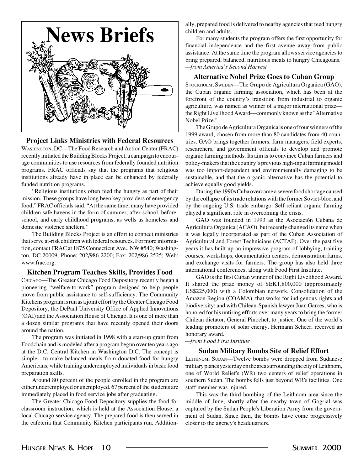

#### **Project Links Ministries with Federal Resources**

WASHINGTON, DC—The Food Research and Action Center (FRAC) recently initiated the Building Blocks Project, a campaign to encourage communities to use resources from federally founded nutrition programs. FRAC officials say that the programs that religious institutions already have in place can be enhanced by federally funded nutrition programs.

"Religious institutions often feed the hungry as part of their mission. These groups have long been key providers of emergency food," FRAC officials said. "At the same time, many have provided children safe havens in the form of summer, after-school, beforeschool, and early childhood programs, as wells as homeless and domestic violence shelters."

The Building Blocks Project is an effort to connect ministries that serve at-risk children with federal resources. For more information, contact FRAC at 1875 Connecticut Ave., NW #540; Washington, DC 20009; Phone: 202/986-2200; Fax: 202/986-2525; Web: www.frac.org.

#### **Kitchen Program Teaches Skills, Provides Food**

CHICAGO—The Greater Chicago Food Depository recently began a pioneering "welfare-to-work" program designed to help people move from public assistance to self-sufficiency. The Community Kitchens program is run as a joint effort by the Greater Chicago Food Depository, the DePaul University Office of Applied Innovations (OAI) and the Association House of Chicago. It is one of more than a dozen similar programs that have recently opened their doors around the nation.

The program was initiated in 1998 with a start-up grant from Foodchain and is modeled after a program begun over ten years ago at the D.C. Central Kitchen in Washington D.C. The concept is simple—to make balanced meals from donated food for hungry Americans, while training underemployed individuals in basic food preparation skills.

Around 80 percent of the people enrolled in the program are either underemployed or unemployed. 67 percent of the students are immediately placed in food service jobs after graduating.

The Greater Chicago Food Depository supplies the food for classroom instruction, which is held at the Association House, a local Chicago service agency. The prepared food is then served in the cafeteria that Community Kitchen participants run. Additionally, prepared food is delivered to nearby agencies that feed hungry children and adults.

For many students the program offers the first opportunity for financial independence and the first avenue away from public assistance. At the same time the program allows service agencies to bring prepared, balanced, nutritious meals to hungry Chicagoans. *—from America's Second Harvest*

#### **Alternative Nobel Prize Goes to Cuban Group**

STOCKHOLM, SWEDEN—The Grupo de Agricultura Organica (GAO), the Cuban organic farming association, which has been at the forefront of the country's transition from industrial to organic agriculture, was named as winner of a major international prize the Right Livelihood Award—commonly known as the "Alternative Nobel Prize."

The Grupo de Agricultura Organica is one of four winners of the 1999 award, chosen from more than 80 candidates from 40 countries. GAO brings together farmers, farm managers, field experts, researchers, and government officials to develop and promote organic farming methods. Its aim is to convince Cuban farmers and policy-makers that the country's previous high-input farming model was too import-dependent and environmentally damaging to be sustainable, and that the organic alternative has the potential to achieve equally good yields.

During the 1990s Cuba overcame a severe food shortage caused by the collapse of its trade relations with the former Soviet-bloc, and by the ongoing U.S. trade embargo. Self-reliant organic farming played a significant role in overcoming the crisis.

GAO was founded in 1993 as the Asociación Cubana de Agricultura Organica (ACAO), but recently changed its name when it was legally incorporated as part of the Cuban Association of Agricultural and Forest Technicians (ACTAF). Over the past five years it has built up an impressive program of lobbying, training courses, workshops, documentation centers, demonstration farms, and exchange visits for farmers. The group has also held three international conferences, along with Food First Institute.

GAO is the first Cuban winner of the Right Livelihood Award. It shared the prize money of SEK1,800,000 (approximately US\$225,000) with a Colombian network, Consolidation of the Amazon Region (COAMA), that works for indigenous rights and biodiversity; and with Chilean-Spanish lawyer Juan Garces, who is honored for his untiring efforts over many years to bring the former Chilean dictator, General Pinochet, to justice. One of the world's leading promoters of solar energy, Hermann Scheer, received an honorary award.

*—from Food First Institute*

#### **Sudan Military Bombs Site of Relief Effort**

LEITHNOM, SUDAN—Twelve bombs were dropped from Sudanese military planes yesterday on the area surrounding the city of Leithnom, one of World Relief's (WR) two centers of relief operations in southern Sudan. The bombs fells just beyond WR's facilities. One staff member was injured.

This was the third bombing of the Leithnom area since the middle of June, shortly after the nearby town of Gogrial was captured by the Sudan People's Liberation Army from the government of Sudan. Since then, the bombs have come progressively closer to the agency's headquarters.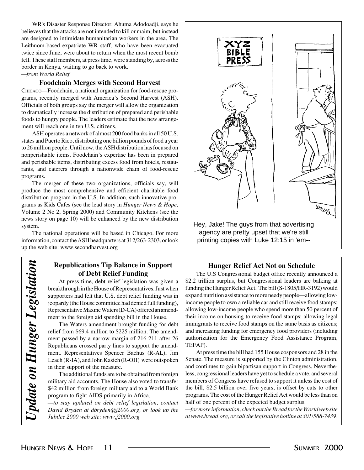WR's Disaster Response Director, Ahuma Adodoadji, says he believes that the attacks are not intended to kill or maim, but instead are designed to intimidate humanitarian workers in the area. The Leithnom-based expatriate WR staff, who have been evacuated twice since June, were about to return when the most recent bomb fell. These staff members, at press time, were standing by, across the border in Kenya, waiting to go back to work.

*—from World Relief*

#### **Foodchain Merges with Second Harvest**

CHICAGO—Foodchain, a national organization for food-rescue programs, recently merged with America's Second Harvest (ASH). Officials of both groups say the merger will allow the organization to dramatically increase the distribution of prepared and perishable foods to hungry people. The leaders estimate that the new arrangement will reach one in ten U.S. citizens.

ASH operates a network of almost 200 food banks in all 50 U.S. states and Puerto Rico, distributing one billion pounds of food a year to 26 million people. Until now, the ASH distribution has focused on nonperishable items. Foodchain's expertise has been in prepared and perishable items, distributing excess food from hotels, restaurants, and caterers through a nationwide chain of food-rescue programs.

The merger of these two organizations, officials say, will produce the most comprehensive and efficient charitable food distribution program in the U.S. In addition, such innovative programs as Kids Cafes (see the lead story in *Hunger News & Hope,* Volume 2 No 2, Spring 2000) and Community Kitchens (see the news story on page 10) will be enhanced by the new distribution system.

The national operations will be based in Chicago. For more information, contact the ASH headquarters at 312/263-2303. or look up the web site: www.secondharvest.org

#### **Republications Tip Balance in Support of Debt Relief Funding**

At press time, debt relief legislation was given a breakthrough in the House of Representatives. Just when supporters had felt that U.S. debt relief funding was in jeopardy (the House committee had denied full funding), Representative Maxine Waters (D-CA) offered an amendment to the foreign aid spending bill in the House.

The Waters amendment brought funding for debt relief from \$69.4 million to \$225 million. The amendment passed by a narrow margin of 216-211 after 26 Republicans crossed party lines to support the amendment. Representatives Spencer Bachus (R-AL), Jim Leach (R-IA), and John Kasich (R-OH) were outspoken in their support of the measure.

The additional funds are to be obtained from foreign military aid accounts. The House also voted to transfer \$42 million from foreign military aid to a World Bank program to fight AIDS primarily in Africa.

*—to stay updated on debt relief legislation, contact David Bryden at dbryden@j2000.org, or look up the Jubilee 2000 web site: www.j2000.org*



agency are pretty upset that we're still printing copies with Luke 12:15 in 'em--

#### **Hunger Relief Act Not on Schedule**

The U.S Congressional budget office recently announced a \$2.2 trillion surplus, but Congressional leaders are balking at funding the Hunger Relief Act. The bill (S-1805/HR-3192) would expand nutrition assistance to more needy people—allowing lowincome people to own a reliable car and still receive food stamps; allowing low-income people who spend more than 50 percent of their income on housing to receive food stamps; allowing legal immigrants to receive food stamps on the same basis as citizens; and increasing funding for emergency food providers (including authorization for the Emergency Food Assistance Program, TEFAP).

At press time the bill had 155 House cosponsors and 28 in the Senate. The measure is supported by the Clinton administration, and continues to gain bipartisan support in Congress. Nevertheless, congressional leaders have yet to schedule a vote, and several members of Congress have refused to support it unless the cost of the bill, \$2.5 billion over five years, is offset by cuts to other programs. The cost of the Hunger Relief Act would be less than on half of one percent of the expected budget surplus.

*—for more information, check out the Bread for the World web site at www.bread.org, or call the legislative hotline at 301/588-7439.*

*Update on Hunger Legislation*

Update on Hunger Legislation